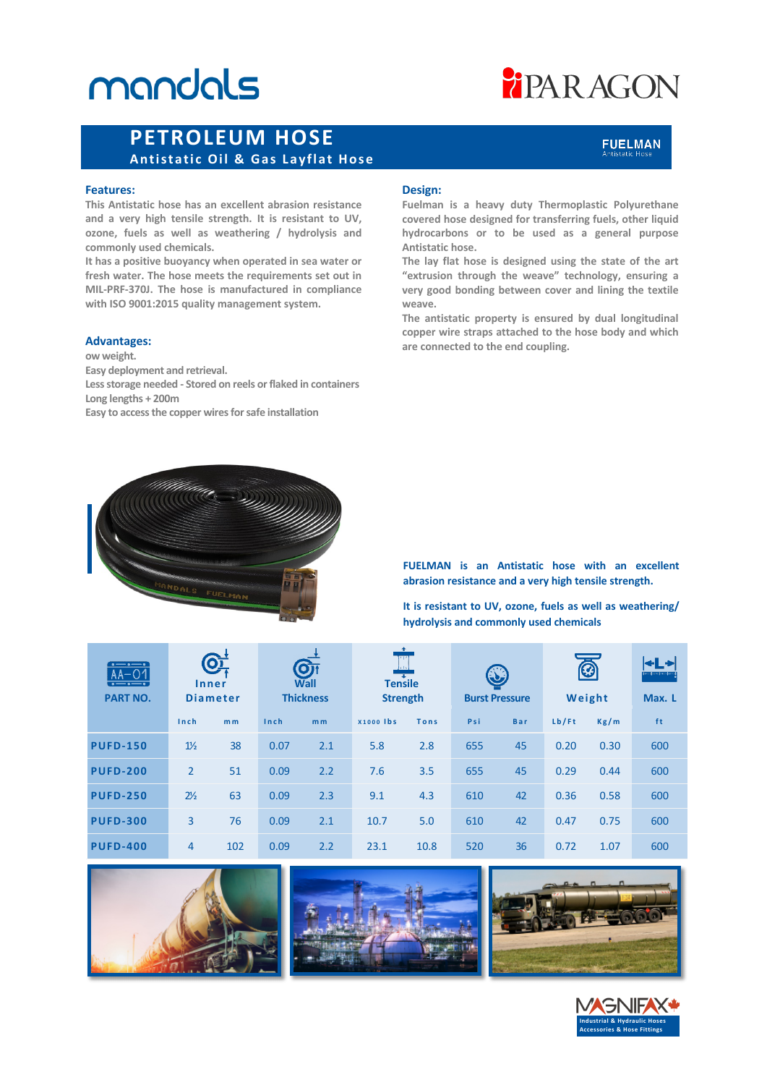# mandals

# **FIPARAGON**

### **PETROLEUM HOSE Antistatic Oil & Gas Layflat Hose**

#### **Features:**

**This Antistatic hose has an excellent abrasion resistance and a very high tensile strength. It is resistant to UV, ozone, fuels as well as weathering / hydrolysis and commonly used chemicals.** 

**It has a positive buoyancy when operated in sea water or fresh water. The hose meets the requirements set out in MIL-PRF-370J. The hose is manufactured in compliance with ISO 9001:2015 quality management system.**

#### **Advantages:**

**ow weight. Easy deployment and retrieval. Less storage needed - Stored on reels or flaked in containers Long lengths + 200m Easy to access the copper wires for safe installation**

#### **Design:**

**Fuelman is a heavy duty Thermoplastic Polyurethane covered hose designed for transferring fuels, other liquid hydrocarbons or to be used as a general purpose Antistatic hose.**

**The lay flat hose is designed using the state of the art "extrusion through the weave" technology, ensuring a very good bonding between cover and lining the textile weave.**

**The antistatic property is ensured by dual longitudinal copper wire straps attached to the hose body and which are connected to the end coupling.**



**FUELMAN is an Antistatic hose with an excellent abrasion resistance and a very high tensile strength.** 

**It is resistant to UV, ozone, fuels as well as weathering/ hydrolysis and commonly used chemicals**

| $\cdot$ . $\cdot$ .<br>$AA-O1$<br>$\bullet \text{---} \bullet \text{---} \bullet$<br><b>PART NO.</b> | O<br>Inner<br><b>Diameter</b> |                | OT<br>Wall<br><b>Thickness</b> |                | $\ddot{\bullet}$<br><b>THE</b><br>1.1x<br><b>Tensile</b><br><b>Strength</b> |      | $\mathbf{C}$<br><b>Burst Pressure</b> |            | Ø<br>Weight |      | ←l →<br><b>Bundary bundary</b><br>Max. L |
|------------------------------------------------------------------------------------------------------|-------------------------------|----------------|--------------------------------|----------------|-----------------------------------------------------------------------------|------|---------------------------------------|------------|-------------|------|------------------------------------------|
|                                                                                                      | Inch                          | m <sub>m</sub> | Inch                           | m <sub>m</sub> | <b>X1000 lbs</b>                                                            | Tons | Psi                                   | <b>Bar</b> | Lb/Ft       | Kg/m | ft                                       |
| <b>PUFD-150</b>                                                                                      | $1\frac{1}{2}$                | 38             | 0.07                           | 2.1            | 5.8                                                                         | 2.8  | 655                                   | 45         | 0.20        | 0.30 | 600                                      |
| <b>PUFD-200</b>                                                                                      | $\overline{2}$                | 51             | 0.09                           | 2.2            | 7.6                                                                         | 3.5  | 655                                   | 45         | 0.29        | 0.44 | 600                                      |
| <b>PUFD-250</b>                                                                                      | $2\frac{1}{2}$                | 63             | 0.09                           | 2.3            | 9.1                                                                         | 4.3  | 610                                   | 42         | 0.36        | 0.58 | 600                                      |
| <b>PUFD-300</b>                                                                                      | 3                             | 76             | 0.09                           | 2.1            | 10.7                                                                        | 5.0  | 610                                   | 42         | 0.47        | 0.75 | 600                                      |
| <b>PUFD-400</b>                                                                                      | 4                             | 102            | 0.09                           | 2.2            | 23.1                                                                        | 10.8 | 520                                   | 36         | 0.72        | 1.07 | 600                                      |